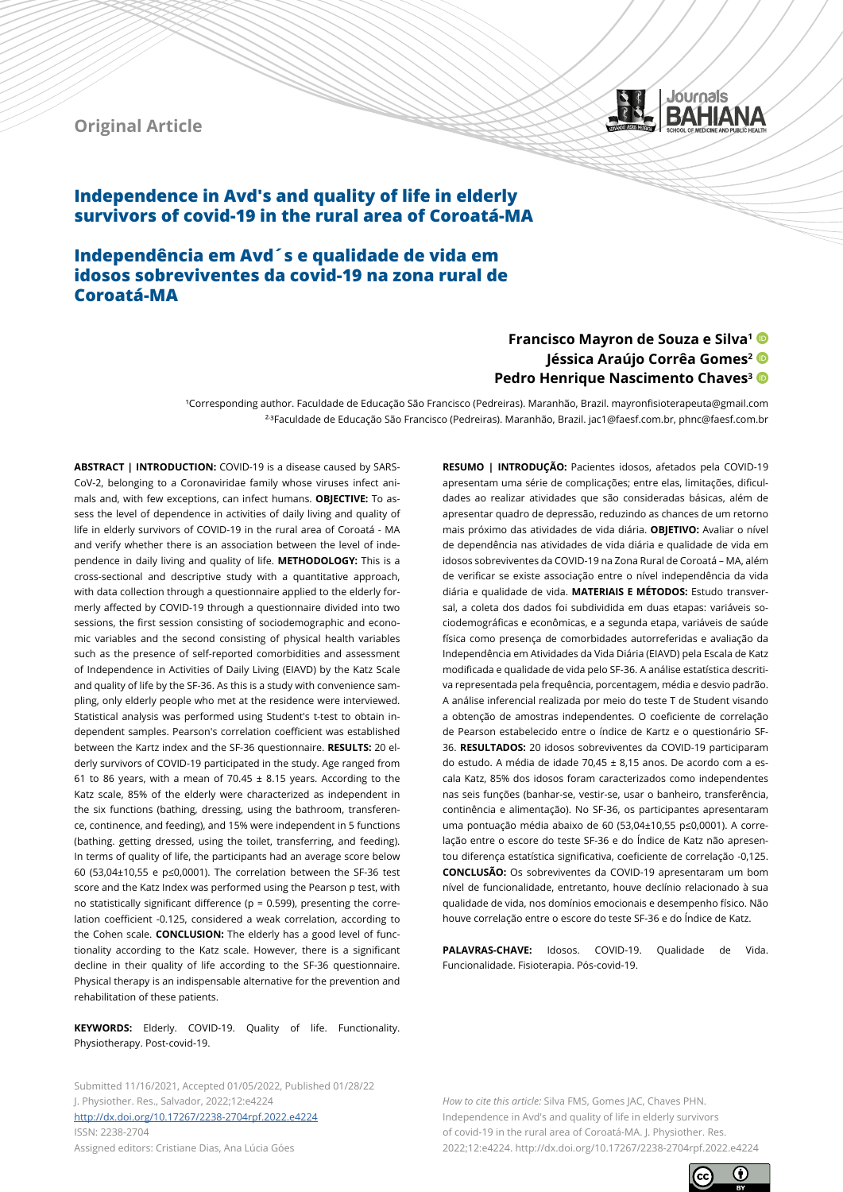## **Original Article**



# **Independence in Avd's and quality of life in elderly survivors of covid-19 in the rural area of Coroatá-MA**

**Independência em Avd´s e qualidade de vida em idosos sobreviventes da covid-19 na zona rural de Coroatá-MA** 

## **Francisco Mayron de Souza e Silva1** Jéssica Araújo Corrêa Gomes<sup>2</sup> D **Pedro Henrique Nascimento Chaves<sup>3</sup>**

¹Corresponding author. Faculdade de Educação São Francisco (Pedreiras). Maranhão, Brazil. mayronfisioterapeuta@gmail.com ²- ³Faculdade de Educação São Francisco (Pedreiras). Maranhão, Brazil. jac1@faesf.com.br, phnc@faesf.com.br

**ABSTRACT | INTRODUCTION:** COVID-19 is a disease caused by SARS-CoV-2, belonging to a Coronaviridae family whose viruses infect animals and, with few exceptions, can infect humans. **OBJECTIVE:** To assess the level of dependence in activities of daily living and quality of life in elderly survivors of COVID-19 in the rural area of Coroatá - MA and verify whether there is an association between the level of independence in daily living and quality of life. **METHODOLOGY:** This is a cross-sectional and descriptive study with a quantitative approach, with data collection through a questionnaire applied to the elderly formerly affected by COVID-19 through a questionnaire divided into two sessions, the first session consisting of sociodemographic and economic variables and the second consisting of physical health variables such as the presence of self-reported comorbidities and assessment of Independence in Activities of Daily Living (EIAVD) by the Katz Scale and quality of life by the SF-36. As this is a study with convenience sampling, only elderly people who met at the residence were interviewed. Statistical analysis was performed using Student's t-test to obtain independent samples. Pearson's correlation coefficient was established between the Kartz index and the SF-36 questionnaire. **RESULTS:** 20 elderly survivors of COVID-19 participated in the study. Age ranged from 61 to 86 years, with a mean of 70.45  $\pm$  8.15 years. According to the Katz scale, 85% of the elderly were characterized as independent in the six functions (bathing, dressing, using the bathroom, transference, continence, and feeding), and 15% were independent in 5 functions (bathing. getting dressed, using the toilet, transferring, and feeding). In terms of quality of life, the participants had an average score below 60 (53,04±10,55 e p≤0,0001). The correlation between the SF-36 test score and the Katz Index was performed using the Pearson p test, with no statistically significant difference ( $p = 0.599$ ), presenting the correlation coefficient -0.125, considered a weak correlation, according to the Cohen scale. **CONCLUSION:** The elderly has a good level of functionality according to the Katz scale. However, there is a significant decline in their quality of life according to the SF-36 questionnaire. Physical therapy is an indispensable alternative for the prevention and rehabilitation of these patients.

**KEYWORDS:** Elderly. COVID-19. Quality of life. Functionality. Physiotherapy. Post-covid-19.

Submitted 11/16/2021, Accepted 01/05/2022, Published 01/28/22 J. Physiother. Res., Salvador, 2022;12:e4224 [http://dx.doi.org/](http://dx.doi.org/10.17267/2238-2704rpf.2022.e3474)10.17267/2238-2704rpf.2022.e4224 ISSN: 2238-2704 Assigned editors: Cristiane Dias, Ana Lúcia Góes

**RESUMO | INTRODUÇÃO:** Pacientes idosos, afetados pela COVID-19 apresentam uma série de complicações; entre elas, limitações, dificuldades ao realizar atividades que são consideradas básicas, além de apresentar quadro de depressão, reduzindo as chances de um retorno mais próximo das atividades de vida diária. **OBJETIVO:** Avaliar o nível de dependência nas atividades de vida diária e qualidade de vida em idosos sobreviventes da COVID-19 na Zona Rural de Coroatá – MA, além de verificar se existe associação entre o nível independência da vida diária e qualidade de vida. **MATERIAIS E MÉTODOS:** Estudo transversal, a coleta dos dados foi subdividida em duas etapas: variáveis sociodemográficas e econômicas, e a segunda etapa, variáveis de saúde física como presença de comorbidades autorreferidas e avaliação da Independência em Atividades da Vida Diária (EIAVD) pela Escala de Katz modificada e qualidade de vida pelo SF-36. A análise estatística descritiva representada pela frequência, porcentagem, média e desvio padrão. A análise inferencial realizada por meio do teste T de Student visando a obtenção de amostras independentes. O coeficiente de correlação de Pearson estabelecido entre o índice de Kartz e o questionário SF-36. **RESULTADOS:** 20 idosos sobreviventes da COVID-19 participaram do estudo. A média de idade 70,45 ± 8,15 anos. De acordo com a escala Katz, 85% dos idosos foram caracterizados como independentes nas seis funções (banhar-se, vestir-se, usar o banheiro, transferência, continência e alimentação). No SF-36, os participantes apresentaram uma pontuação média abaixo de 60 (53,04±10,55 p≤0,0001). A correlação entre o escore do teste SF-36 e do Índice de Katz não apresentou diferença estatística significativa, coeficiente de correlação -0,125. **CONCLUSÃO:** Os sobreviventes da COVID-19 apresentaram um bom nível de funcionalidade, entretanto, houve declínio relacionado à sua qualidade de vida, nos domínios emocionais e desempenho físico. Não houve correlação entre o escore do teste SF-36 e do Índice de Katz.

**PALAVRAS-CHAVE:** Idosos. COVID-19. Qualidade de Vida. Funcionalidade. Fisioterapia. Pós-covid-19.

*How to cite this article:* Silva FMS, Gomes JAC, Chaves PHN. Independence in Avd's and quality of life in elderly survivors of covid-19 in the rural area of Coroatá-MA. J. Physiother. Res. 2022;12:e4224. http://dx.doi.org/10.17267/2238-2704rpf.2022.e4224

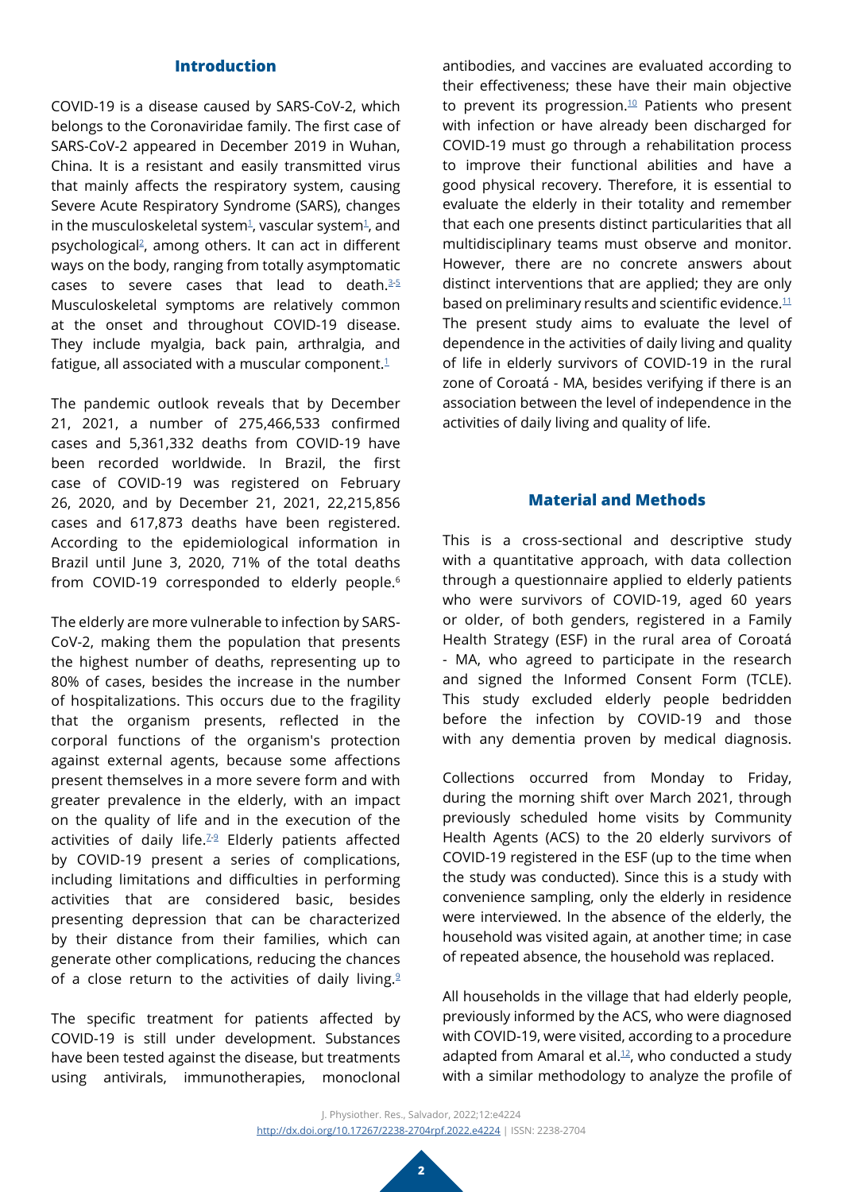### **Introduction**

COVID-19 is a disease caused by SARS-CoV-2, which belongs to the Coronaviridae family. The first case of SARS-CoV-2 appeared in December 2019 in Wuhan, China. It is a resistant and easily transmitted virus that mainly affects the respiratory system, causing Severe Acute Respiratory Syndrome (SARS), changes in the musculoskeletal system<sup>[1](#page-9-0)</sup>, vascular system<sup>1</sup>, and psychologica[l2](#page-9-1), among others. It can act in different ways on the body, ranging from totally asymptomatic cases to severe cases that lead to death. $3-5$  $3-5$ Musculoskeletal symptoms are relatively common at the onset and throughout COVID-19 disease. They include myalgia, back pain, arthralgia, and fatigue, all associated with a muscular component. $1$ 

The pandemic outlook reveals that by December 21, 2021, a number of 275,466,533 confirmed cases and 5,361,332 deaths from COVID-19 have been recorded worldwide. In Brazil, the first case of COVID-19 was registered on February 26, 2020, and by December 21, 2021, 22,215,856 cases and 617,873 deaths have been registered. According to the epidemiological information in Brazil until June 3, 2020, 71% of the total deaths from COVID-19 corresponded to elderly people.<sup>6</sup>

The elderly are more vulnerable to infection by SARS-CoV-2, making them the population that presents the highest number of deaths, representing up to 80% of cases, besides the increase in the number of hospitalizations. This occurs due to the fragility that the organism presents, reflected in the corporal functions of the organism's protection against external agents, because some affections present themselves in a more severe form and with greater prevalence in the elderly, with an impact on the quality of life and in the execution of the activities of daily life.<sup>[7](#page-9-4)-[9](#page-9-5)</sup> Elderly patients affected by COVID-19 present a series of complications, including limitations and difficulties in performing activities that are considered basic, besides presenting depression that can be characterized by their distance from their families, which can generate other complications, reducing the chances of a close return to the activities of daily living. $9$ 

The specific treatment for patients affected by COVID-19 is still under development. Substances have been tested against the disease, but treatments using antivirals, immunotherapies, monoclonal

antibodies, and vaccines are evaluated according to their effectiveness; these have their main objective to prevent its progression. $10$  Patients who present with infection or have already been discharged for COVID-19 must go through a rehabilitation process to improve their functional abilities and have a good physical recovery. Therefore, it is essential to evaluate the elderly in their totality and remember that each one presents distinct particularities that all multidisciplinary teams must observe and monitor. However, there are no concrete answers about distinct interventions that are applied; they are only based on preliminary results and scientific evidence. $11$ The present study aims to evaluate the level of dependence in the activities of daily living and quality of life in elderly survivors of COVID-19 in the rural zone of Coroatá - MA, besides verifying if there is an association between the level of independence in the activities of daily living and quality of life.

### **Material and Methods**

This is a cross-sectional and descriptive study with a quantitative approach, with data collection through a questionnaire applied to elderly patients who were survivors of COVID-19, aged 60 years or older, of both genders, registered in a Family Health Strategy (ESF) in the rural area of Coroatá - MA, who agreed to participate in the research and signed the Informed Consent Form (TCLE). This study excluded elderly people bedridden before the infection by COVID-19 and those with any dementia proven by medical diagnosis.

Collections occurred from Monday to Friday, during the morning shift over March 2021, through previously scheduled home visits by Community Health Agents (ACS) to the 20 elderly survivors of COVID-19 registered in the ESF (up to the time when the study was conducted). Since this is a study with convenience sampling, only the elderly in residence were interviewed. In the absence of the elderly, the household was visited again, at another time; in case of repeated absence, the household was replaced.

All households in the village that had elderly people, previously informed by the ACS, who were diagnosed with COVID-19, were visited, according to a procedure adapted from Amaral et al. $12$ , who conducted a study with a similar methodology to analyze the profile of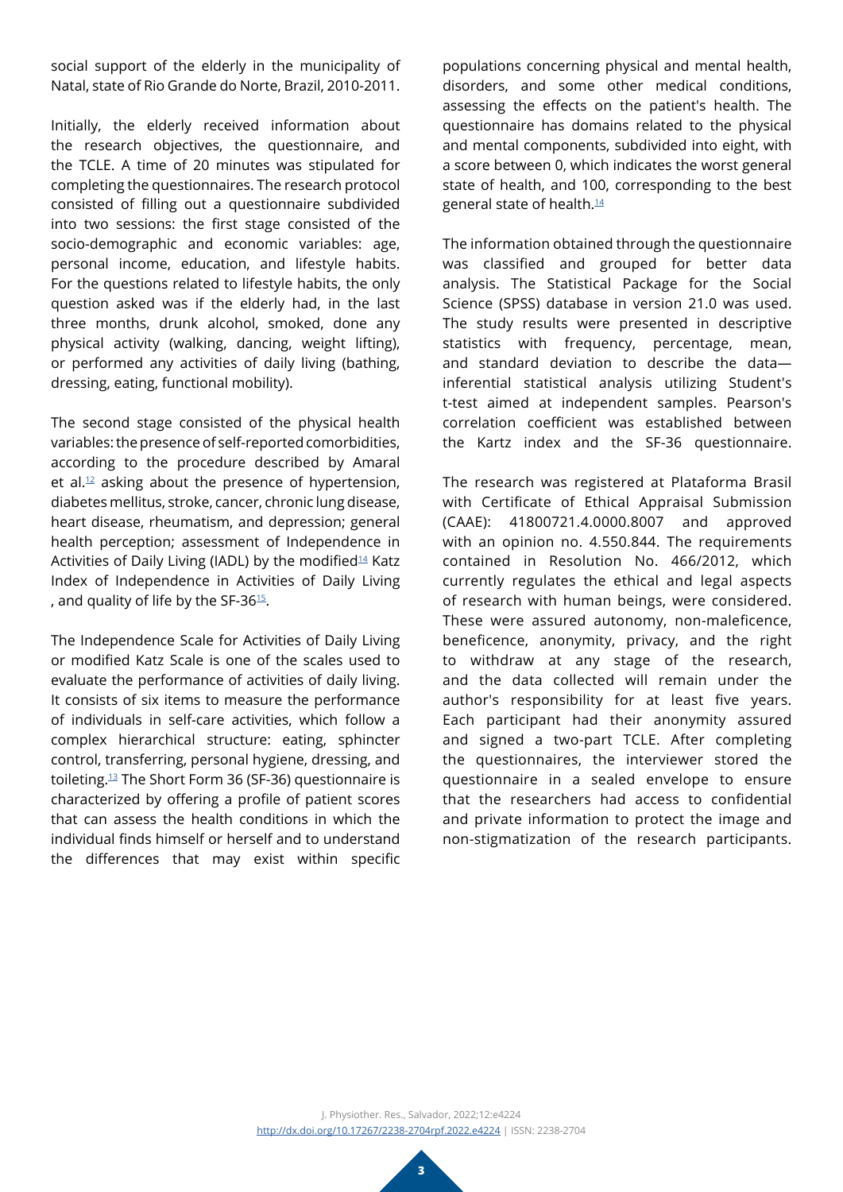social support of the elderly in the municipality of Natal, state of Rio Grande do Norte, Brazil, 2010-2011.

Initially, the elderly received information about the research objectives, the questionnaire, and the TCLE. A time of 20 minutes was stipulated for completing the questionnaires. The research protocol consisted of filling out a questionnaire subdivided into two sessions: the first stage consisted of the socio-demographic and economic variables: age, personal income, education, and lifestyle habits. For the questions related to lifestyle habits, the only question asked was if the elderly had, in the last three months, drunk alcohol, smoked, done any physical activity (walking, dancing, weight lifting), or performed any activities of daily living (bathing, dressing, eating, functional mobility).

The second stage consisted of the physical health variables: the presence of self-reported comorbidities, according to the procedure described by Amaral et al. $12$  asking about the presence of hypertension, diabetes mellitus, stroke, cancer, chronic lung disease, heart disease, rheumatism, and depression; general health perception; assessment of Independence in Activities of Daily Living (IADL) by the modified<sup>14</sup> Katz Index of Independence in Activities of Daily Living , and quality of life by the SF-36 $15$ .

The Independence Scale for Activities of Daily Living or modified Katz Scale is one of the scales used to evaluate the performance of activities of daily living. It consists of six items to measure the performance of individuals in self-care activities, which follow a complex hierarchical structure: eating, sphincter control, transferring, personal hygiene, dressing, and toileting.[13](#page-9-11) The Short Form 36 (SF-36) questionnaire is characterized by offering a profile of patient scores that can assess the health conditions in which the individual finds himself or herself and to understand the differences that may exist within specific

populations concerning physical and mental health, disorders, and some other medical conditions, assessing the effects on the patient's health. The questionnaire has domains related to the physical and mental components, subdivided into eight, with a score between 0, which indicates the worst general state of health, and 100, corresponding to the best general state of health[.14](#page-9-9)

The information obtained through the questionnaire was classified and grouped for better data analysis. The Statistical Package for the Social Science (SPSS) database in version 21.0 was used. The study results were presented in descriptive statistics with frequency, percentage, mean, and standard deviation to describe the data inferential statistical analysis utilizing Student's t-test aimed at independent samples. Pearson's correlation coefficient was established between the Kartz index and the SF-36 questionnaire.

The research was registered at Plataforma Brasil with Certificate of Ethical Appraisal Submission (CAAE): 41800721.4.0000.8007 and approved with an opinion no. 4.550.844. The requirements contained in Resolution No. 466/2012, which currently regulates the ethical and legal aspects of research with human beings, were considered. These were assured autonomy, non-maleficence, beneficence, anonymity, privacy, and the right to withdraw at any stage of the research, and the data collected will remain under the author's responsibility for at least five years. Each participant had their anonymity assured and signed a two-part TCLE. After completing the questionnaires, the interviewer stored the questionnaire in a sealed envelope to ensure that the researchers had access to confidential and private information to protect the image and non-stigmatization of the research participants.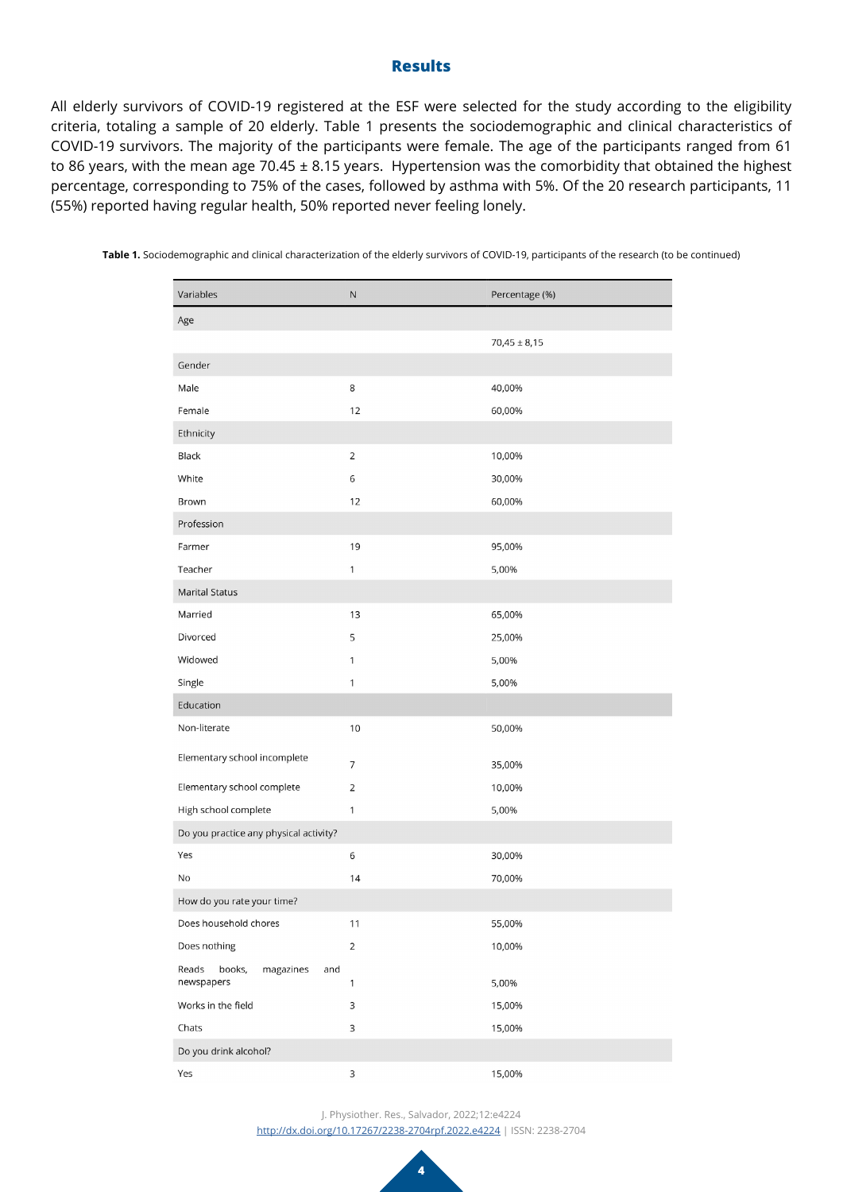### **Results**

All elderly survivors of COVID-19 registered at the ESF were selected for the study according to the eligibility criteria, totaling a sample of 20 elderly. Table 1 presents the sociodemographic and clinical characteristics of COVID-19 survivors. The majority of the participants were female. The age of the participants ranged from 61 to 86 years, with the mean age 70.45 ± 8.15 years. Hypertension was the comorbidity that obtained the highest percentage, corresponding to 75% of the cases, followed by asthma with 5%. Of the 20 research participants, 11 (55%) reported having regular health, 50% reported never feeling lonely.

| Variables                                         | ${\sf N}$      | Percentage (%)   |  |  |  |
|---------------------------------------------------|----------------|------------------|--|--|--|
| Age                                               |                |                  |  |  |  |
|                                                   |                | $70,45 \pm 8,15$ |  |  |  |
| Gender                                            |                |                  |  |  |  |
| Male                                              | 8              | 40,00%           |  |  |  |
| Female                                            | 12             | 60,00%           |  |  |  |
| Ethnicity                                         |                |                  |  |  |  |
| <b>Black</b>                                      | $\overline{2}$ | 10,00%           |  |  |  |
| White                                             | 6              | 30,00%           |  |  |  |
| Brown                                             | 12             | 60,00%           |  |  |  |
| Profession                                        |                |                  |  |  |  |
| Farmer                                            | 19             | 95,00%           |  |  |  |
| Teacher                                           | $\mathbf{1}$   | 5,00%            |  |  |  |
| <b>Marital Status</b>                             |                |                  |  |  |  |
| Married                                           | 13             | 65,00%           |  |  |  |
| Divorced                                          | 5              | 25,00%           |  |  |  |
| Widowed                                           | $\mathbf{1}$   | 5,00%            |  |  |  |
| Single                                            | 1              | 5,00%            |  |  |  |
| Education                                         |                |                  |  |  |  |
| Non-literate                                      | 10             | 50,00%           |  |  |  |
| Elementary school incomplete                      | 7              | 35,00%           |  |  |  |
| Elementary school complete                        | $\overline{2}$ | 10,00%           |  |  |  |
| High school complete                              | 1              | 5,00%            |  |  |  |
| Do you practice any physical activity?            |                |                  |  |  |  |
| Yes                                               | 6              | 30,00%           |  |  |  |
| No                                                | 14             | 70,00%           |  |  |  |
| How do you rate your time?                        |                |                  |  |  |  |
| Does household chores                             | 11             | 55,00%           |  |  |  |
| Does nothing                                      | $\overline{2}$ | 10,00%           |  |  |  |
| Reads<br>books,<br>and<br>magazines<br>newspapers | 1              | 5,00%            |  |  |  |
| Works in the field                                | 3              | 15,00%           |  |  |  |
| Chats                                             | 3              | 15,00%           |  |  |  |
| Do you drink alcohol?                             |                |                  |  |  |  |
| Yes                                               | 3              | 15,00%           |  |  |  |

**Table 1.** Sociodemographic and clinical characterization of the elderly survivors of COVID-19, participants of the research (to be continued)

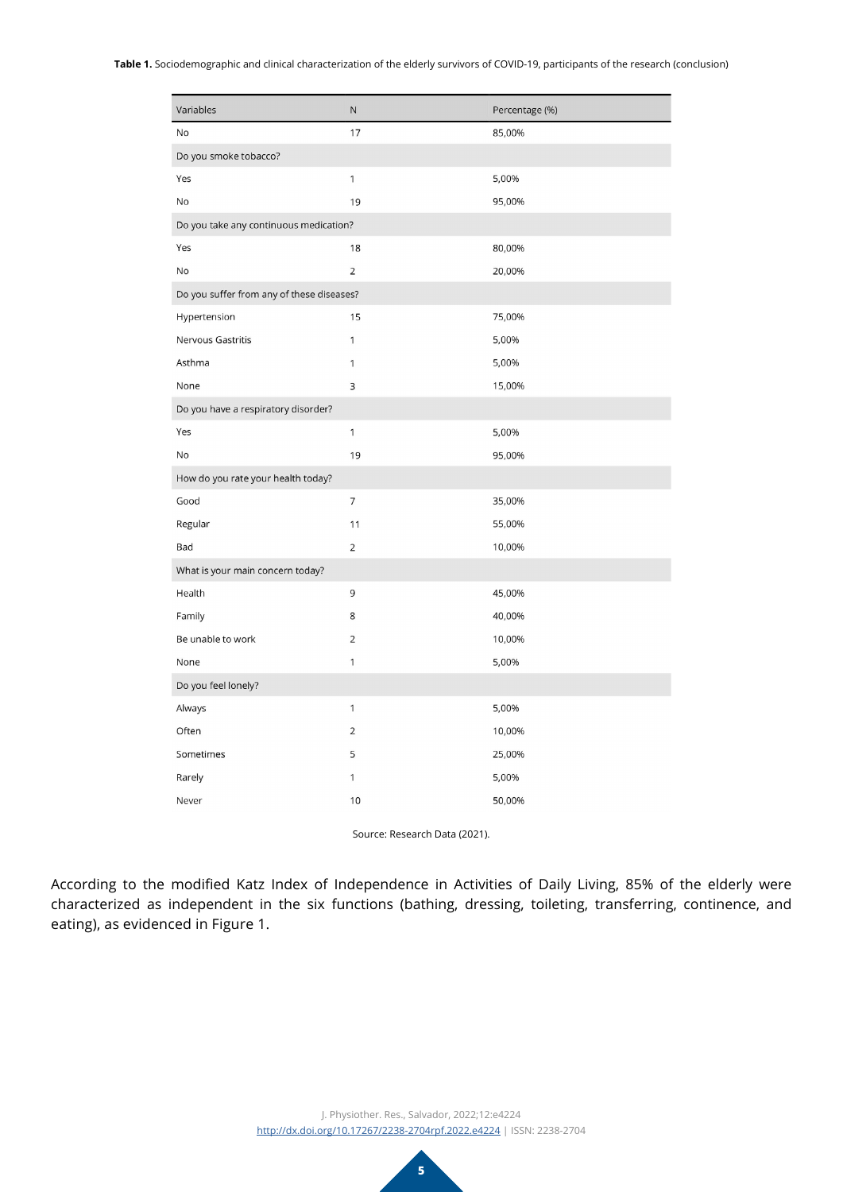#### **Table 1.** Sociodemographic and clinical characterization of the elderly survivors of COVID-19, participants of the research (conclusion)

| Variables                                 | N              | Percentage (%) |  |  |  |
|-------------------------------------------|----------------|----------------|--|--|--|
| No                                        | 17             | 85,00%         |  |  |  |
| Do you smoke tobacco?                     |                |                |  |  |  |
| Yes                                       | 1              | 5,00%          |  |  |  |
| No                                        | 19             | 95,00%         |  |  |  |
| Do you take any continuous medication?    |                |                |  |  |  |
| Yes                                       | 18             | 80,00%         |  |  |  |
| No                                        | $\overline{2}$ | 20,00%         |  |  |  |
| Do you suffer from any of these diseases? |                |                |  |  |  |
| Hypertension                              | 15             | 75,00%         |  |  |  |
| Nervous Gastritis                         | 1              | 5,00%          |  |  |  |
| Asthma                                    | 1              | 5,00%          |  |  |  |
| None                                      | 3              | 15,00%         |  |  |  |
| Do you have a respiratory disorder?       |                |                |  |  |  |
| Yes                                       | $\mathbf{1}$   | 5,00%          |  |  |  |
| No                                        | 19             | 95,00%         |  |  |  |
| How do you rate your health today?        |                |                |  |  |  |
| Good                                      | $\overline{7}$ | 35,00%         |  |  |  |
| Regular                                   | 11             | 55,00%         |  |  |  |
| Bad                                       | $\overline{2}$ | 10,00%         |  |  |  |
| What is your main concern today?          |                |                |  |  |  |
| Health                                    | 9              | 45,00%         |  |  |  |
| Family                                    | 8              | 40,00%         |  |  |  |
| Be unable to work                         | $\overline{2}$ | 10,00%         |  |  |  |
| None                                      | 1              | 5,00%          |  |  |  |
| Do you feel lonely?                       |                |                |  |  |  |
| Always                                    | 1              | 5,00%          |  |  |  |
| Often                                     | $\overline{2}$ | 10,00%         |  |  |  |
| Sometimes                                 | 5              | 25,00%         |  |  |  |
| Rarely                                    | 1              | 5,00%          |  |  |  |
| Never                                     | 10             | 50,00%         |  |  |  |

Source: Research Data (2021).

According to the modified Katz Index of Independence in Activities of Daily Living, 85% of the elderly were characterized as independent in the six functions (bathing, dressing, toileting, transferring, continence, and eating), as evidenced in Figure 1.

> J. Physiother. Res., Salvador, 2022;12:e4224 [http://dx.doi.org/](http://dx.doi.org/10.17267/2238-2704rpf.2022.e3474)10.17267/2238-2704rpf.2022.e4224 | ISSN: 2238-2704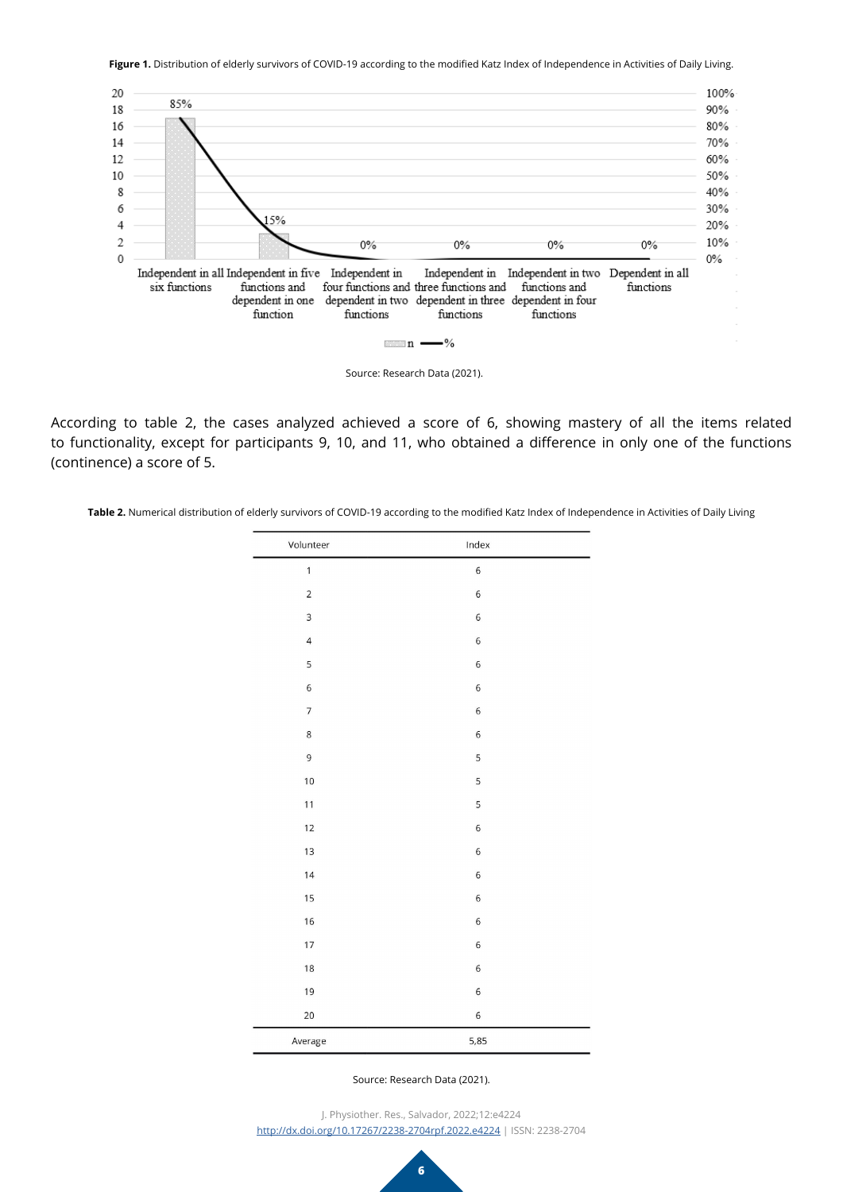Figure 1. Distribution of elderly survivors of COVID-19 according to the modified Katz Index of Independence in Activities of Daily Living.



Source: Research Data (2021).

According to table 2, the cases analyzed achieved a score of 6, showing mastery of all the items related to functionality, except for participants 9, 10, and 11, who obtained a difference in only one of the functions (continence) a score of 5.

Table 2. Numerical distribution of elderly survivors of COVID-19 according to the modified Katz Index of Independence in Activities of Daily Living

| Volunteer      | Index |  |
|----------------|-------|--|
| $\mathbf{1}$   | 6     |  |
| $\mathbf 2$    | 6     |  |
| 3              | 6     |  |
| $\overline{4}$ | 6     |  |
| 5              | 6     |  |
| 6              | 6     |  |
| $\overline{7}$ | 6     |  |
| $\,8\,$        | 6     |  |
| $\mathsf 9$    | 5     |  |
| 10             | 5     |  |
| 11             | 5     |  |
| 12             | 6     |  |
| 13             | 6     |  |
| 14             | 6     |  |
| 15             | 6     |  |
| 16             | 6     |  |
| 17             | 6     |  |
| 18             | 6     |  |
| 19             | 6     |  |
| 20             | 6     |  |
| Average        | 5,85  |  |

Source: Research Data (2021).

J. Physiother. Res., Salvador, 2022;12:e4224 [http://dx.doi.org/](http://dx.doi.org/10.17267/2238-2704rpf.2022.e3474)10.17267/2238-2704rpf.2022.e4224 | ISSN: 2238-2704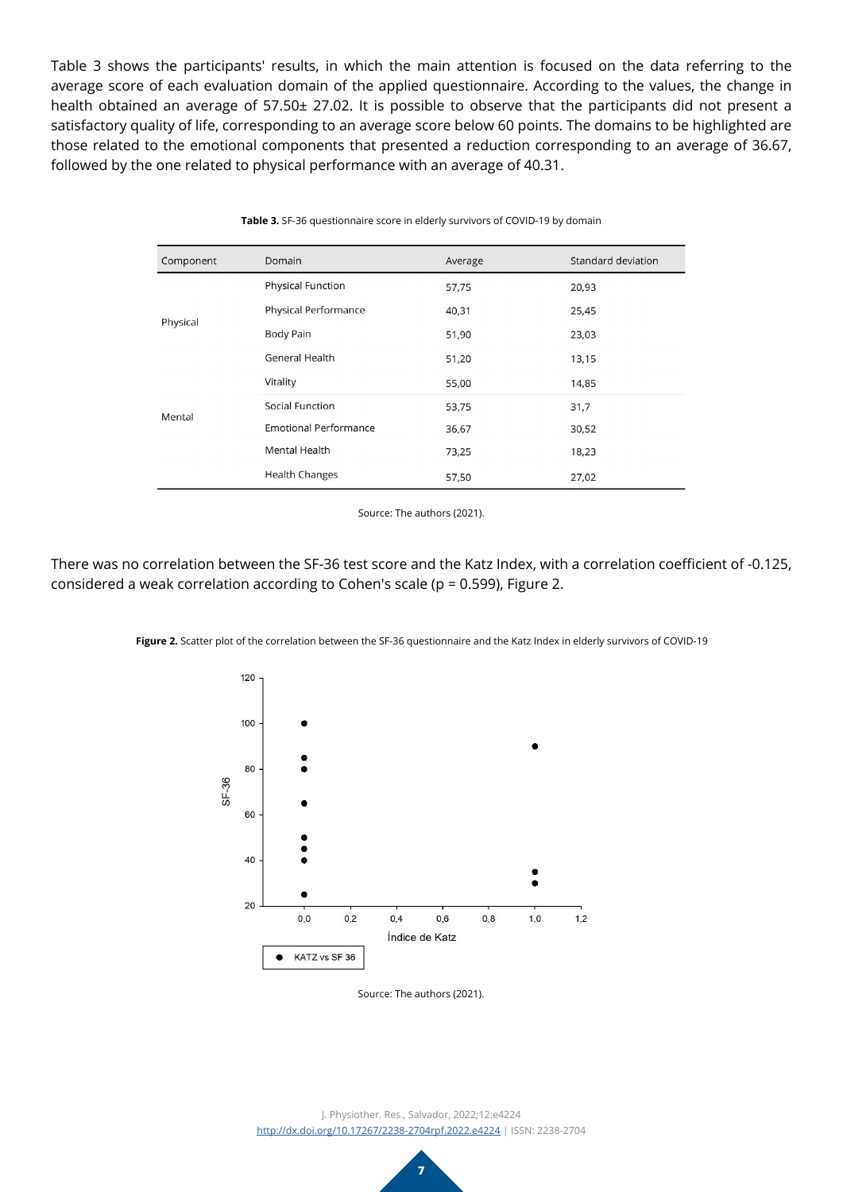Table 3 shows the participants' results, in which the main attention is focused on the data referring to the average score of each evaluation domain of the applied questionnaire. According to the values, the change in health obtained an average of 57.50± 27.02. It is possible to observe that the participants did not present a satisfactory quality of life, corresponding to an average score below 60 points. The domains to be highlighted are those related to the emotional components that presented a reduction corresponding to an average of 36.67, followed by the one related to physical performance with an average of 40.31.

| Component | Domain                       | Average | Standard deviation |
|-----------|------------------------------|---------|--------------------|
| Physical  | <b>Physical Function</b>     | 57,75   | 20,93              |
|           | <b>Physical Performance</b>  | 40,31   | 25,45              |
|           | <b>Body Pain</b>             | 51,90   | 23,03              |
|           | General Health               | 51,20   | 13,15              |
|           | Vitality                     | 55,00   | 14,85              |
| Mental    | Social Function              | 53,75   | 31,7               |
|           | <b>Emotional Performance</b> | 36,67   | 30,52              |
|           | <b>Mental Health</b>         | 73,25   | 18,23              |
|           | <b>Health Changes</b>        | 57,50   | 27,02              |

**Table 3.** SF-36 questionnaire score in elderly survivors of COVID-19 by domain

Source: The authors (2021).

There was no correlation between the SF-36 test score and the Katz Index, with a correlation coefficient of -0.125, considered a weak correlation according to Cohen's scale (p = 0.599), Figure 2.



**Figure 2.** Scatter plot of the correlation between the SF-36 questionnaire and the Katz Index in elderly survivors of COVID-19

Source: The authors (2021).

J. Physiother. Res., Salvador, 2022;12:e4224 [http://dx.doi.org/](http://dx.doi.org/10.17267/2238-2704rpf.2022.e3474)10.17267/2238-2704rpf.2022.e4224 | ISSN: 2238-2704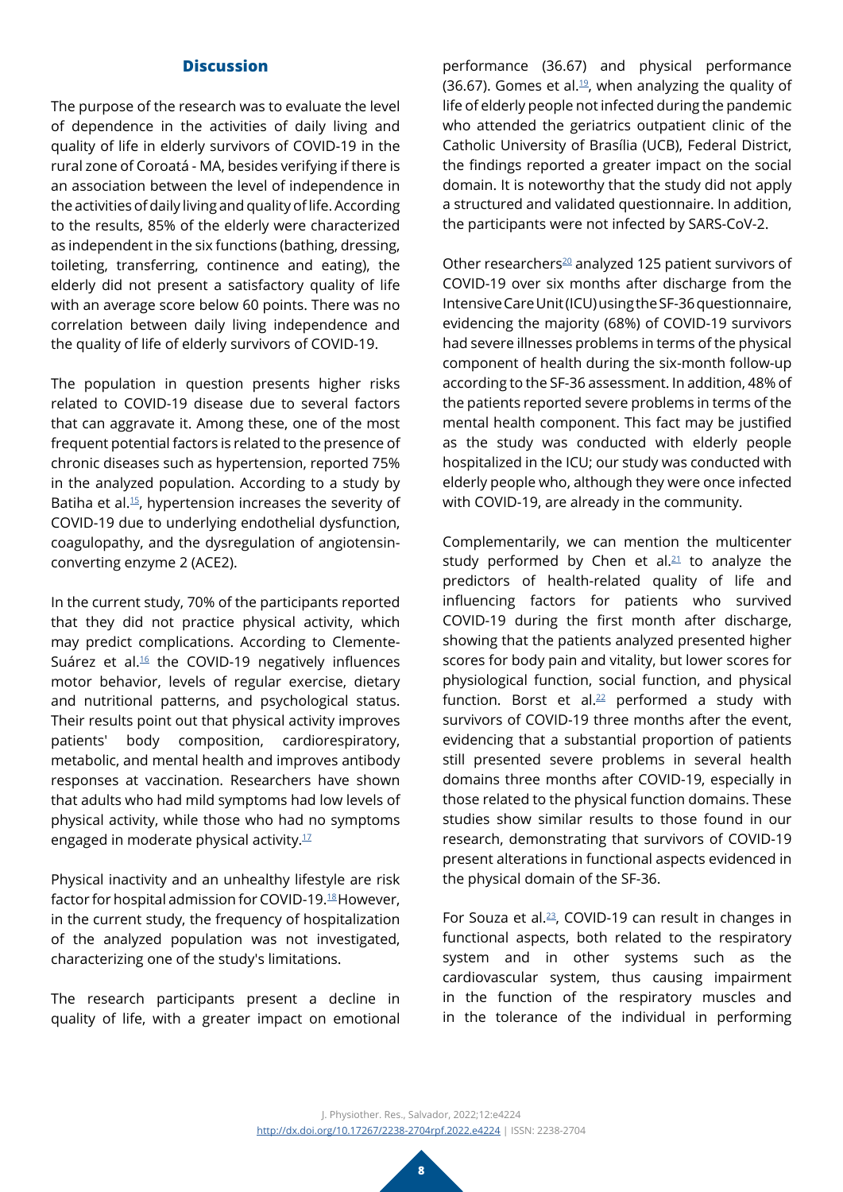## **Discussion**

The purpose of the research was to evaluate the level of dependence in the activities of daily living and quality of life in elderly survivors of COVID-19 in the rural zone of Coroatá - MA, besides verifying if there is an association between the level of independence in the activities of daily living and quality of life. According to the results, 85% of the elderly were characterized as independent in the six functions (bathing, dressing, toileting, transferring, continence and eating), the elderly did not present a satisfactory quality of life with an average score below 60 points. There was no correlation between daily living independence and the quality of life of elderly survivors of COVID-19.

The population in question presents higher risks related to COVID-19 disease due to several factors that can aggravate it. Among these, one of the most frequent potential factors is related to the presence of chronic diseases such as hypertension, reported 75% in the analyzed population. According to a study by Batiha et al.[15](#page-9-10), hypertension increases the severity of COVID-19 due to underlying endothelial dysfunction, coagulopathy, and the dysregulation of angiotensinconverting enzyme 2 (ACE2).

In the current study, 70% of the participants reported that they did not practice physical activity, which may predict complications. According to Clemente-Suárez et al. $16$  the COVID-19 negatively influences motor behavior, levels of regular exercise, dietary and nutritional patterns, and psychological status. Their results point out that physical activity improves patients' body composition, cardiorespiratory, metabolic, and mental health and improves antibody responses at vaccination. Researchers have shown that adults who had mild symptoms had low levels of physical activity, while those who had no symptoms engaged in moderate physical activity. $1/17$  $1/17$ 

Physical inactivity and an unhealthy lifestyle are risk factor for hospital admission for COVID-19.<sup>18</sup> However, in the current study, the frequency of hospitalization of the analyzed population was not investigated, characterizing one of the study's limitations.

The research participants present a decline in quality of life, with a greater impact on emotional

performance (36.67) and physical performance (36.67). Gomes et al.<sup>19</sup>, when analyzing the quality of life of elderly people not infected during the pandemic who attended the geriatrics outpatient clinic of the Catholic University of Brasília (UCB), Federal District, the findings reported a greater impact on the social domain. It is noteworthy that the study did not apply a structured and validated questionnaire. In addition, the participants were not infected by SARS-CoV-2.

Other researchers $^{20}$  analyzed 125 patient survivors of COVID-19 over six months after discharge from the Intensive Care Unit (ICU) using the SF-36 questionnaire, evidencing the majority (68%) of COVID-19 survivors had severe illnesses problems in terms of the physical component of health during the six-month follow-up according to the SF-36 assessment. In addition, 48% of the patients reported severe problems in terms of the mental health component. This fact may be justified as the study was conducted with elderly people hospitalized in the ICU; our study was conducted with elderly people who, although they were once infected with COVID-19, are already in the community.

Complementarily, we can mention the multicenter study performed by Chen et al. $21$  to analyze the predictors of health-related quality of life and influencing factors for patients who survived COVID-19 during the first month after discharge, showing that the patients analyzed presented higher scores for body pain and vitality, but lower scores for physiological function, social function, and physical function. Borst et al. $22$  performed a study with survivors of COVID-19 three months after the event, evidencing that a substantial proportion of patients still presented severe problems in several health domains three months after COVID-19, especially in those related to the physical function domains. These studies show similar results to those found in our research, demonstrating that survivors of COVID-19 present alterations in functional aspects evidenced in the physical domain of the SF-36.

For Souza et al. $^{23}$ , COVID-19 can result in changes in functional aspects, both related to the respiratory system and in other systems such as the cardiovascular system, thus causing impairment in the function of the respiratory muscles and in the tolerance of the individual in performing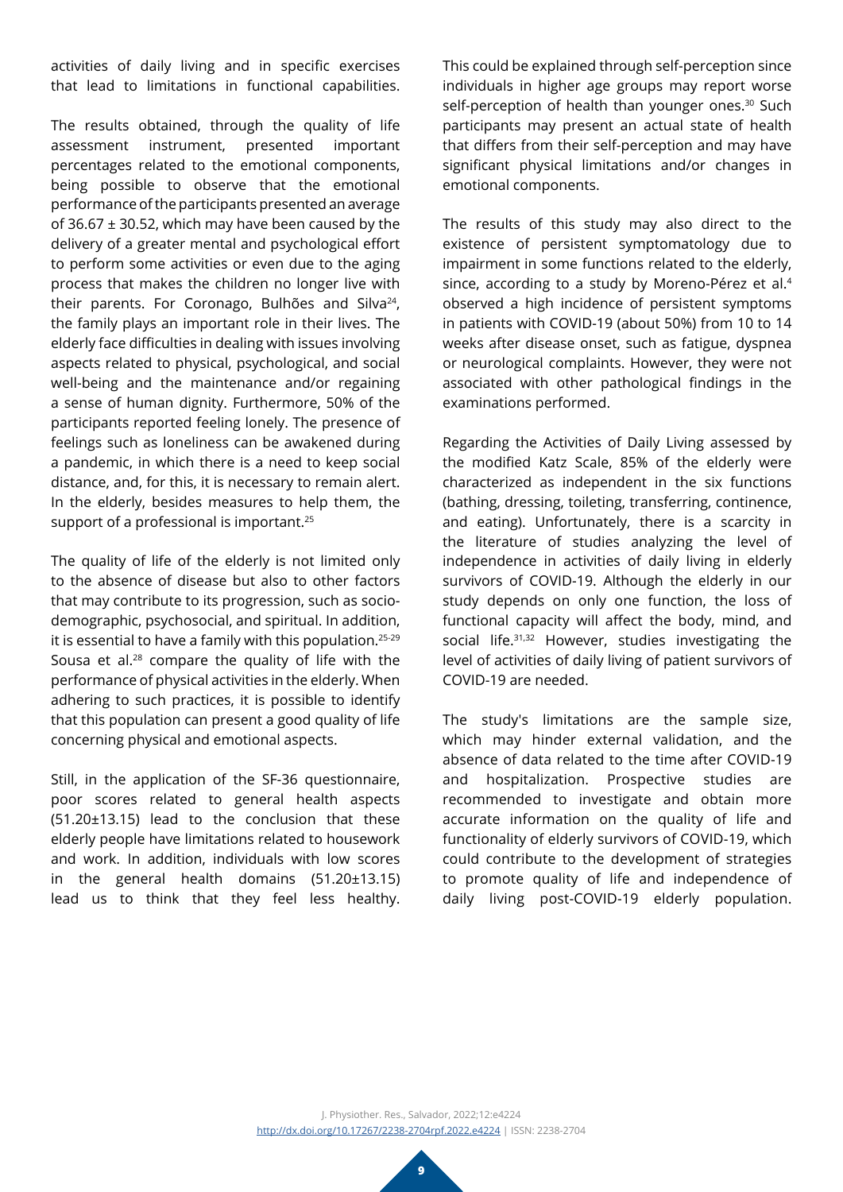activities of daily living and in specific exercises that lead to limitations in functional capabilities.

The results obtained, through the quality of life assessment instrument, presented important percentages related to the emotional components, being possible to observe that the emotional performance of the participants presented an average of 36.67 ± 30.52, which may have been caused by the delivery of a greater mental and psychological effort to perform some activities or even due to the aging process that makes the children no longer live with their parents. For Coronago, Bulhões and Silva<sup>24</sup>, the family plays an important role in their lives. The elderly face difficulties in dealing with issues involving aspects related to physical, psychological, and social well-being and the maintenance and/or regaining a sense of human dignity. Furthermore, 50% of the participants reported feeling lonely. The presence of feelings such as loneliness can be awakened during a pandemic, in which there is a need to keep social distance, and, for this, it is necessary to remain alert. In the elderly, besides measures to help them, the support of a professional is important.<sup>25</sup>

The quality of life of the elderly is not limited only to the absence of disease but also to other factors that may contribute to its progression, such as sociodemographic, psychosocial, and spiritual. In addition, it is essential to have a family with this population.25-29 Sousa et al.28 compare the quality of life with the performance of physical activities in the elderly. When adhering to such practices, it is possible to identify that this population can present a good quality of life concerning physical and emotional aspects.

Still, in the application of the SF-36 questionnaire, poor scores related to general health aspects (51.20±13.15) lead to the conclusion that these elderly people have limitations related to housework and work. In addition, individuals with low scores in the general health domains (51.20±13.15) lead us to think that they feel less healthy.

This could be explained through self-perception since individuals in higher age groups may report worse self-perception of health than younger ones.<sup>30</sup> Such participants may present an actual state of health that differs from their self-perception and may have significant physical limitations and/or changes in emotional components.

The results of this study may also direct to the existence of persistent symptomatology due to impairment in some functions related to the elderly, since, according to a study by Moreno-Pérez et al.<sup>4</sup> observed a high incidence of persistent symptoms in patients with COVID-19 (about 50%) from 10 to 14 weeks after disease onset, such as fatigue, dyspnea or neurological complaints. However, they were not associated with other pathological findings in the examinations performed.

Regarding the Activities of Daily Living assessed by the modified Katz Scale, 85% of the elderly were characterized as independent in the six functions (bathing, dressing, toileting, transferring, continence, and eating). Unfortunately, there is a scarcity in the literature of studies analyzing the level of independence in activities of daily living in elderly survivors of COVID-19. Although the elderly in our study depends on only one function, the loss of functional capacity will affect the body, mind, and social life.<sup>31,32</sup> However, studies investigating the level of activities of daily living of patient survivors of COVID-19 are needed.

The study's limitations are the sample size, which may hinder external validation, and the absence of data related to the time after COVID-19 and hospitalization. Prospective studies are recommended to investigate and obtain more accurate information on the quality of life and functionality of elderly survivors of COVID-19, which could contribute to the development of strategies to promote quality of life and independence of daily living post-COVID-19 elderly population.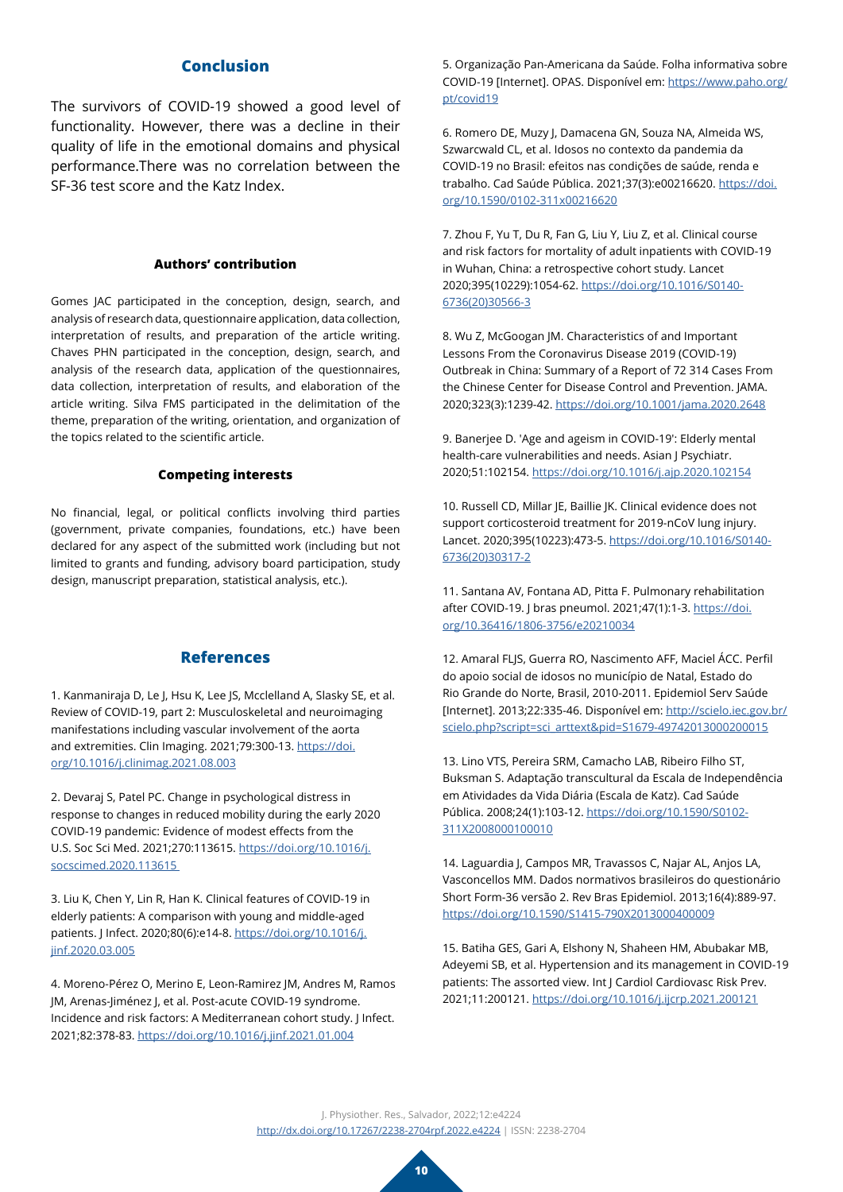## **Conclusion**

The survivors of COVID-19 showed a good level of functionality. However, there was a decline in their quality of life in the emotional domains and physical performance.There was no correlation between the SF-36 test score and the Katz Index.

#### **Authors' contribution**

Gomes JAC participated in the conception, design, search, and analysis of research data, questionnaire application, data collection, interpretation of results, and preparation of the article writing. Chaves PHN participated in the conception, design, search, and analysis of the research data, application of the questionnaires, data collection, interpretation of results, and elaboration of the article writing. Silva FMS participated in the delimitation of the theme, preparation of the writing, orientation, and organization of the topics related to the scientific article.

#### **Competing interests**

No financial, legal, or political conflicts involving third parties (government, private companies, foundations, etc.) have been declared for any aspect of the submitted work (including but not limited to grants and funding, advisory board participation, study design, manuscript preparation, statistical analysis, etc.).

### **References**

<span id="page-9-0"></span>1. Kanmaniraja D, Le J, Hsu K, Lee JS, Mcclelland A, Slasky SE, et al. Review of COVID-19, part 2: Musculoskeletal and neuroimaging manifestations including vascular involvement of the aorta and extremities. Clin Imaging. 2021;79:300-13. [https://doi.](https://www.clinicalimaging.org/article/S0899-7071(21)00336-3/fulltext) [org/10.1016/j.clinimag.2021.08.003](https://www.clinicalimaging.org/article/S0899-7071(21)00336-3/fulltext)

<span id="page-9-1"></span>2. Devaraj S, Patel PC. Change in psychological distress in response to changes in reduced mobility during the early 2020 COVID-19 pandemic: Evidence of modest effects from the U.S. Soc Sci Med. 2021;270:113615. [https://doi.org/10.1016/j.](https://www.sciencedirect.com/science/article/pii/S0277953620308340?via%3Dihub) [socscimed.2020.113615](https://www.sciencedirect.com/science/article/pii/S0277953620308340?via%3Dihub) 

<span id="page-9-2"></span>3. Liu K, Chen Y, Lin R, Han K. Clinical features of COVID-19 in elderly patients: A comparison with young and middle-aged patients. J Infect. 2020;80(6):e14-8. [https://doi.org/10.1016/j.](https://www.journalofinfection.com/article/S0163-4453(20)30116-X/fulltext) [jinf.2020.03.005](https://www.journalofinfection.com/article/S0163-4453(20)30116-X/fulltext)

4. Moreno-Pérez O, Merino E, Leon-Ramirez JM, Andres M, Ramos JM, Arenas-Jiménez J, et al. Post-acute COVID-19 syndrome. Incidence and risk factors: A Mediterranean cohort study. J Infect. 2021;82:378-83. [https://doi.org/10.1016/j.jinf.2021.01.004](https://www.journalofinfection.com/article/S0163-4453(21)00009-8/fulltext)

<span id="page-9-3"></span>5. Organização Pan-Americana da Saúde. Folha informativa sobre COVID-19 [Internet]. OPAS. Disponível em: [https://www.paho.org/](https://www.paho.org/pt/covid19) [pt/covid19](https://www.paho.org/pt/covid19)

6. Romero DE, Muzy J, Damacena GN, Souza NA, Almeida WS, Szwarcwald CL, et al. Idosos no contexto da pandemia da COVID-19 no Brasil: efeitos nas condições de saúde, renda e trabalho. Cad Saúde Pública. 2021;37(3):e00216620. [https://doi.](https://www.scielo.br/j/csp/a/gXG5RYBXmdhc8ZtvKjt7kzc/?lang=pt) [org/10.1590/0102-311x00216620](https://www.scielo.br/j/csp/a/gXG5RYBXmdhc8ZtvKjt7kzc/?lang=pt)

<span id="page-9-4"></span>7. Zhou F, Yu T, Du R, Fan G, Liu Y, Liu Z, et al. Clinical course and risk factors for mortality of adult inpatients with COVID-19 in Wuhan, China: a retrospective cohort study. Lancet 2020;395(10229):1054-62. [https://doi.org/10.1016/S0140-](https://www.thelancet.com/journals/lancet/article/PIIS0140-6736(20)30566-3/fulltext) [6736\(20\)30566-3](https://www.thelancet.com/journals/lancet/article/PIIS0140-6736(20)30566-3/fulltext)

8. Wu Z, McGoogan JM. Characteristics of and Important Lessons From the Coronavirus Disease 2019 (COVID-19) Outbreak in China: Summary of a Report of 72 314 Cases From the Chinese Center for Disease Control and Prevention. JAMA. 2020;323(3):1239-42. [https://doi.org/10.1001/jama.2020.2648](https://jamanetwork.com/journals/jama/fullarticle/2762130)

<span id="page-9-5"></span>9. Banerjee D. 'Age and ageism in COVID-19': Elderly mental health-care vulnerabilities and needs. Asian J Psychiatr. 2020;51:102154. [https://doi.org/10.1016/j.ajp.2020.102154](https://www.sciencedirect.com/science/article/pii/S1876201820302653?via%3Dihub)

<span id="page-9-6"></span>10. Russell CD, Millar JE, Baillie JK. Clinical evidence does not support corticosteroid treatment for 2019-nCoV lung injury. Lancet. 2020;395(10223):473-5. [https://doi.org/10.1016/S0140-](https://www.thelancet.com/journals/lancet/article/PIIS0140-6736(20)30317-2/fulltext) [6736\(20\)30317-2](https://www.thelancet.com/journals/lancet/article/PIIS0140-6736(20)30317-2/fulltext)

<span id="page-9-7"></span>11. Santana AV, Fontana AD, Pitta F. Pulmonary rehabilitation after COVID-19. J bras pneumol. 2021;47(1):1-3. [https://doi.](http://www.jornaldepneumologia.com.br/details/3500/en-US/pulmonary-rehabilitation-after-covid-19) [org/10.36416/1806-3756/e20210034](http://www.jornaldepneumologia.com.br/details/3500/en-US/pulmonary-rehabilitation-after-covid-19)

<span id="page-9-8"></span>12. Amaral FLJS, Guerra RO, Nascimento AFF, Maciel ÁCC. Perfil do apoio social de idosos no município de Natal, Estado do Rio Grande do Norte, Brasil, 2010-2011. Epidemiol Serv Saúde [Internet]. 2013;22:335-46. Disponível em: [http://scielo.iec.gov.br/](http://scielo.iec.gov.br/scielo.php?script=sci_arttext&pid=S1679-49742013000200015) [scielo.php?script=sci\\_arttext&pid=S1679-49742013000200015](http://scielo.iec.gov.br/scielo.php?script=sci_arttext&pid=S1679-49742013000200015)

<span id="page-9-11"></span>13. Lino VTS, Pereira SRM, Camacho LAB, Ribeiro Filho ST, Buksman S. Adaptação transcultural da Escala de Independência em Atividades da Vida Diária (Escala de Katz). Cad Saúde Pública. 2008;24(1):103-12. [https://doi.org/10.1590/S0102-](https://www.scielo.br/j/csp/a/hssCqfGkZRfBCH5Nc9fBbtN/?lang=pt) [311X2008000100010](https://www.scielo.br/j/csp/a/hssCqfGkZRfBCH5Nc9fBbtN/?lang=pt)

<span id="page-9-9"></span>14. Laguardia J, Campos MR, Travassos C, Najar AL, Anjos LA, Vasconcellos MM. Dados normativos brasileiros do questionário Short Form-36 versão 2. Rev Bras Epidemiol. 2013;16(4):889-97. [https://doi.org/10.1590/S1415-790X2013000400009](https://www.scielo.br/j/rbepid/a/jKQdkPHXVmGFvgLghfbrq4P/?lang=en)

<span id="page-9-10"></span>15. Batiha GES, Gari A, Elshony N, Shaheen HM, Abubakar MB, Adeyemi SB, et al. Hypertension and its management in COVID-19 patients: The assorted view. Int J Cardiol Cardiovasc Risk Prev. 2021;11:200121. [https://doi.org/10.1016/j.ijcrp.2021.200121](https://www.sciencedirect.com/science/article/pii/S2772487521000234?via%3Dihub)